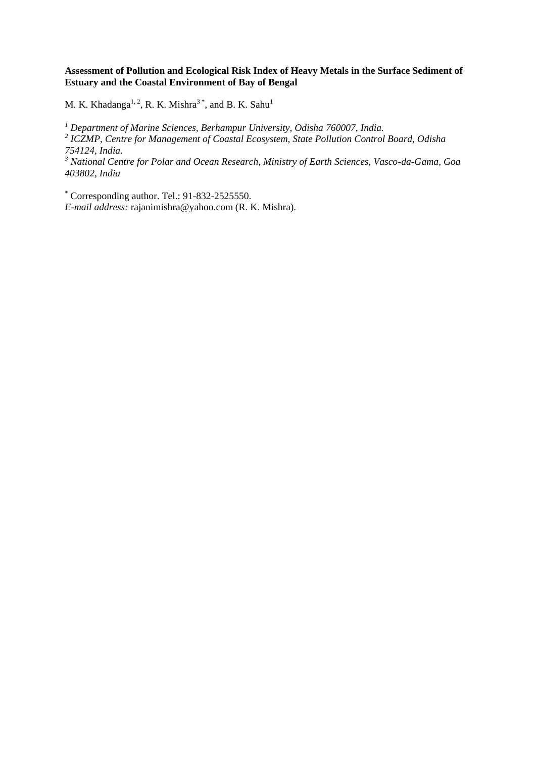## **Assessment of Pollution and Ecological Risk Index of Heavy Metals in the Surface Sediment of Estuary and the Coastal Environment of Bay of Bengal**

M. K. Khadanga<sup>1, 2</sup>, R. K. Mishra<sup>3\*</sup>, and B. K. Sahu<sup>1</sup>

*<sup>1</sup> Department of Marine Sciences, Berhampur University, Odisha 760007, India. 2 ICZMP, Centre for Management of Coastal Ecosystem, State Pollution Control Board, Odisha 754124, India.*

*<sup>3</sup> National Centre for Polar and Ocean Research, Ministry of Earth Sciences, Vasco-da-Gama, Goa 403802, India*

\* Corresponding author. Tel.: 91-832-2525550. *E-mail address:* rajanimishra@yahoo.com (R. K. Mishra).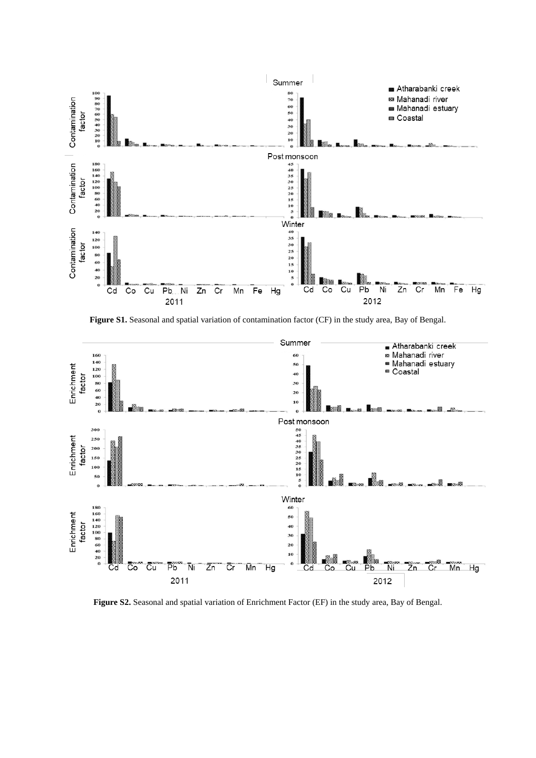

Figure S1. Seasonal and spatial variation of contamination factor (CF) in the study area, Bay of Bengal.



**Figure S2.** Seasonal and spatial variation of Enrichment Factor (EF) in the study area, Bay of Bengal.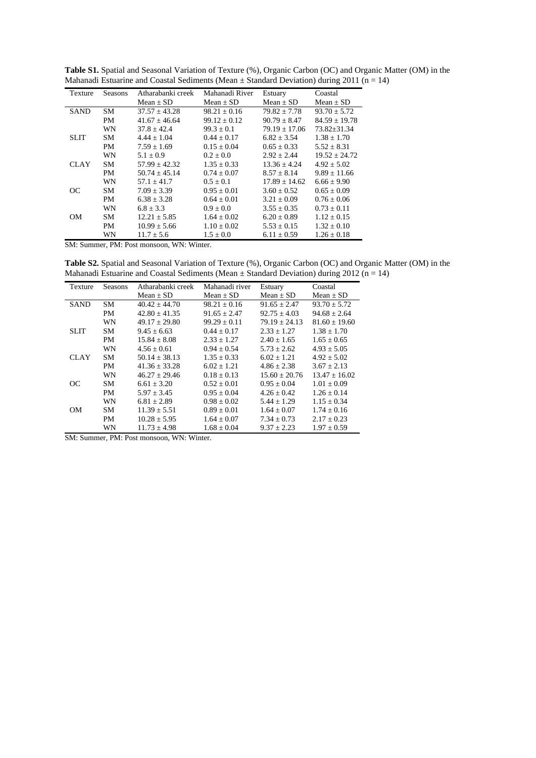| Texture                                       | Seasons   | Atharabanki creek | Mahanadi River   | Estuary          | Coastal           |  |
|-----------------------------------------------|-----------|-------------------|------------------|------------------|-------------------|--|
|                                               |           | Mean $\pm$ SD     | Mean $\pm$ SD    | Mean $\pm$ SD    | Mean $\pm$ SD     |  |
| <b>SAND</b>                                   | <b>SM</b> | $37.57 + 43.28$   | $98.21 \pm 0.16$ | $79.82 \pm 7.78$ | $93.70 + 5.72$    |  |
|                                               | PM        | $41.67 + 46.64$   | $99.12 + 0.12$   | $90.79 + 8.47$   | $84.59 + 19.78$   |  |
|                                               | WN        | $37.8 + 42.4$     | $99.3 + 0.1$     | $79.19 + 17.06$  | $73.82 \pm 31.34$ |  |
| <b>SLIT</b>                                   | <b>SM</b> | $4.44 \pm 1.04$   | $0.44 \pm 0.17$  | $6.82 \pm 3.54$  | $1.38 \pm 1.70$   |  |
|                                               | PM        | $7.59 \pm 1.69$   | $0.15 \pm 0.04$  | $0.65 \pm 0.33$  | $5.52 \pm 8.31$   |  |
|                                               | WN        | $5.1 \pm 0.9$     | $0.2 \pm 0.0$    | $2.92 \pm 2.44$  | $19.52 \pm 24.72$ |  |
| <b>CLAY</b>                                   | <b>SM</b> | $57.99 \pm 42.32$ | $1.35 \pm 0.33$  | $13.36 + 4.24$   | $4.92 \pm 5.02$   |  |
|                                               | <b>PM</b> | $50.74 + 45.14$   | $0.74 + 0.07$    | $8.57 + 8.14$    | $9.89 \pm 11.66$  |  |
|                                               | WN        | $57.1 + 41.7$     | $0.5 \pm 0.1$    | $17.89 + 14.62$  | $6.66 \pm 9.90$   |  |
| OC                                            | <b>SM</b> | $7.09 \pm 3.39$   | $0.95 \pm 0.01$  | $3.60 \pm 0.52$  | $0.65 \pm 0.09$   |  |
|                                               | PM        | $6.38 \pm 3.28$   | $0.64 \pm 0.01$  | $3.21 \pm 0.09$  | $0.76 \pm 0.06$   |  |
|                                               | WN        | $6.8 + 3.3$       | $0.9 \pm 0.0$    | $3.55 \pm 0.35$  | $0.73 \pm 0.11$   |  |
| <b>OM</b>                                     | <b>SM</b> | $12.21 \pm 5.85$  | $1.64 \pm 0.02$  | $6.20 \pm 0.89$  | $1.12 \pm 0.15$   |  |
|                                               | PM        | $10.99 \pm 5.66$  | $1.10 \pm 0.02$  | $5.53 \pm 0.15$  | $1.32 \pm 0.10$   |  |
|                                               | WN        | $11.7 \pm 5.6$    | $1.5 \pm 0.0$    | $6.11 \pm 0.59$  | $1.26 \pm 0.18$   |  |
| $\mathbf{m} \cdot \mathbf{n}$<br>$\mathbf{v}$ |           |                   |                  |                  |                   |  |

**Table S1.** Spatial and Seasonal Variation of Texture (%), Organic Carbon (OC) and Organic Matter (OM) in the Mahanadi Estuarine and Coastal Sediments (Mean  $\pm$  Standard Deviation) during 2011 (n = 14)

SM: Summer, PM: Post monsoon, WN: Winter.

**Table S2.** Spatial and Seasonal Variation of Texture (%), Organic Carbon (OC) and Organic Matter (OM) in the Mahanadi Estuarine and Coastal Sediments (Mean  $\pm$  Standard Deviation) during 2012 (n = 14)

| Texture     | <b>Seasons</b> | Atharabanki creek | Mahanadi river   | Estuary          | Coastal           |
|-------------|----------------|-------------------|------------------|------------------|-------------------|
|             |                | Mean $\pm$ SD     | $Mean + SD$      | $Mean + SD$      | $Mean + SD$       |
| <b>SAND</b> | <b>SM</b>      | $40.42 + 44.70$   | $98.21 + 0.16$   | $91.65 + 2.47$   | $93.70 + 5.72$    |
|             | PM             | $42.80 \pm 41.35$ | $91.65 \pm 2.47$ | $92.75 \pm 4.03$ | $94.68 \pm 2.64$  |
|             | WN             | $49.17 \pm 29.80$ | $99.29 \pm 0.11$ | $79.19 + 24.13$  | $81.60 \pm 19.60$ |
| <b>SLIT</b> | <b>SM</b>      | $9.45 + 6.63$     | $0.44 \pm 0.17$  | $2.33 + 1.27$    | $1.38 \pm 1.70$   |
|             | PM             | $15.84 + 8.08$    | $2.33 \pm 1.27$  | $2.40 \pm 1.65$  | $1.65 \pm 0.65$   |
|             | WN             | $4.56 + 0.61$     | $0.94 + 0.54$    | $5.73 + 2.62$    | $4.93 \pm 5.05$   |
| <b>CLAY</b> | <b>SM</b>      | $50.14 + 38.13$   | $1.35 \pm 0.33$  | $6.02 + 1.21$    | $4.92 \pm 5.02$   |
|             | PM             | $41.36 + 33.28$   | $6.02 + 1.21$    | $4.86 + 2.38$    | $3.67 + 2.13$     |
|             | WN             | $46.27 + 29.46$   | $0.18 + 0.13$    | $15.60 + 20.76$  | $13.47 + 16.02$   |
| OC          | <b>SM</b>      | $6.61 + 3.20$     | $0.52 + 0.01$    | $0.95 \pm 0.04$  | $1.01 \pm 0.09$   |
|             | <b>PM</b>      | $5.97 + 3.45$     | $0.95 + 0.04$    | $4.26 \pm 0.42$  | $1.26 + 0.14$     |
|             | WN             | $6.81 \pm 2.89$   | $0.98 \pm 0.02$  | $5.44 + 1.29$    | $1.15 \pm 0.34$   |
| OМ          | <b>SM</b>      | $11.39 \pm 5.51$  | $0.89 + 0.01$    | $1.64 + 0.07$    | $1.74 + 0.16$     |
|             | PM             | $10.28 \pm 5.95$  | $1.64 \pm 0.07$  | $7.34 \pm 0.73$  | $2.17 \pm 0.23$   |
|             | WN             | $11.73 \pm 4.98$  | $1.68 \pm 0.04$  | $9.37 \pm 2.23$  | $1.97 \pm 0.59$   |

SM: Summer, PM: Post monsoon, WN: Winter.